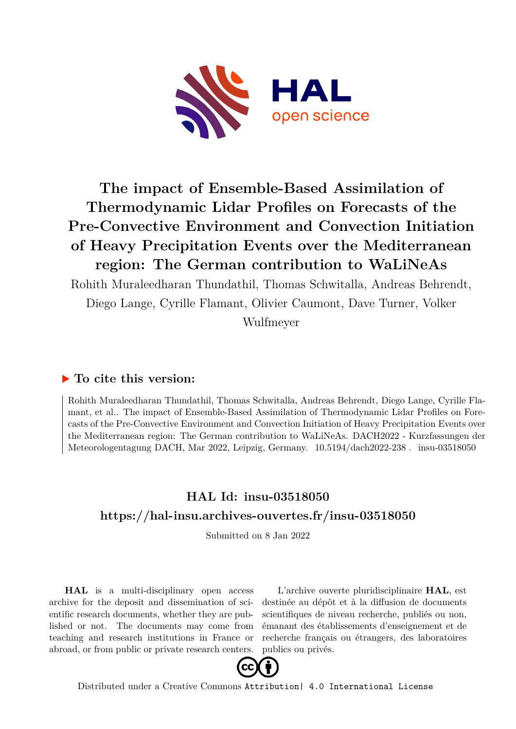

## **The impact of Ensemble-Based Assimilation of Thermodynamic Lidar Profiles on Forecasts of the Pre-Convective Environment and Convection Initiation of Heavy Precipitation Events over the Mediterranean region: The German contribution to WaLiNeAs**

Rohith Muraleedharan Thundathil, Thomas Schwitalla, Andreas Behrendt, Diego Lange, Cyrille Flamant, Olivier Caumont, Dave Turner, Volker

Wulfmeyer

## **To cite this version:**

Rohith Muraleedharan Thundathil, Thomas Schwitalla, Andreas Behrendt, Diego Lange, Cyrille Flamant, et al.. The impact of Ensemble-Based Assimilation of Thermodynamic Lidar Profiles on Forecasts of the Pre-Convective Environment and Convection Initiation of Heavy Precipitation Events over the Mediterranean region: The German contribution to WaLiNeAs. DACH2022 - Kurzfassungen der Meteorologentagung DACH, Mar 2022, Leipzig, Germany.  $10.5194$ /dach2022-238. insu-03518050

## **HAL Id: insu-03518050 <https://hal-insu.archives-ouvertes.fr/insu-03518050>**

Submitted on 8 Jan 2022

**HAL** is a multi-disciplinary open access archive for the deposit and dissemination of scientific research documents, whether they are published or not. The documents may come from teaching and research institutions in France or abroad, or from public or private research centers.

L'archive ouverte pluridisciplinaire **HAL**, est destinée au dépôt et à la diffusion de documents scientifiques de niveau recherche, publiés ou non, émanant des établissements d'enseignement et de recherche français ou étrangers, des laboratoires publics ou privés.



Distributed under a Creative Commons [Attribution| 4.0 International License](http://creativecommons.org/licenses/by/4.0/)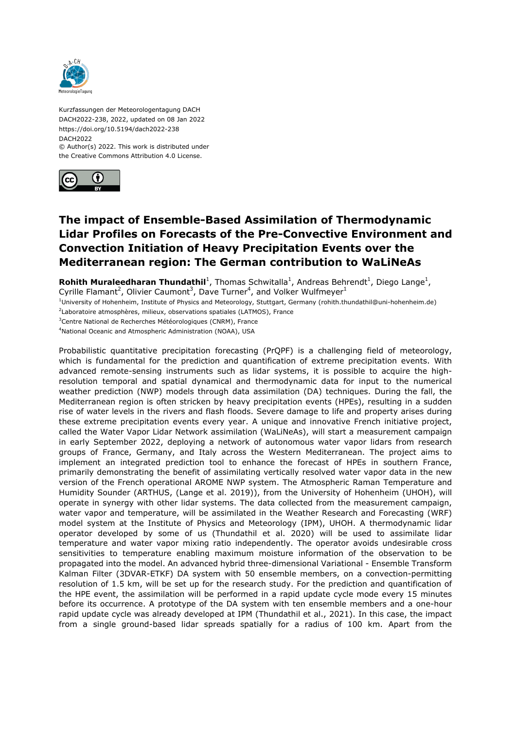

Kurzfassungen der Meteorologentagung DACH DACH2022-238, 2022, updated on 08 Jan 2022 https://doi.org/10.5194/dach2022-238 DACH2022 © Author(s) 2022. This work is distributed under

the Creative Commons Attribution 4.0 License.



## **The impact of Ensemble-Based Assimilation of Thermodynamic Lidar Profiles on Forecasts of the Pre-Convective Environment and Convection Initiation of Heavy Precipitation Events over the Mediterranean region: The German contribution to WaLiNeAs**

Rohith Muraleedharan Thundathil<sup>1</sup>, Thomas Schwitalla<sup>1</sup>, Andreas Behrendt<sup>1</sup>, Diego Lange<sup>1</sup>, Cyrille Flamant<sup>2</sup>, Olivier Caumont<sup>3</sup>, Dave Turner<sup>4</sup>, and Volker Wulfmeyer<sup>1</sup>

 $10$ niversity of Hohenheim, Institute of Physics and Meteorology, Stuttgart, Germany (rohith.thundathil@uni-hohenheim.de)

<sup>2</sup>Laboratoire atmosphères, milieux, observations spatiales (LATMOS), France

<sup>3</sup>Centre National de Recherches Météorologiques (CNRM), France

<sup>4</sup>National Oceanic and Atmospheric Administration (NOAA), USA

Probabilistic quantitative precipitation forecasting (PrQPF) is a challenging field of meteorology, which is fundamental for the prediction and quantification of extreme precipitation events. With advanced remote-sensing instruments such as lidar systems, it is possible to acquire the highresolution temporal and spatial dynamical and thermodynamic data for input to the numerical weather prediction (NWP) models through data assimilation (DA) techniques. During the fall, the Mediterranean region is often stricken by heavy precipitation events (HPEs), resulting in a sudden rise of water levels in the rivers and flash floods. Severe damage to life and property arises during these extreme precipitation events every year. A unique and innovative French initiative project, called the Water Vapor Lidar Network assimilation (WaLiNeAs), will start a measurement campaign in early September 2022, deploying a network of autonomous water vapor lidars from research groups of France, Germany, and Italy across the Western Mediterranean. The project aims to implement an integrated prediction tool to enhance the forecast of HPEs in southern France, primarily demonstrating the benefit of assimilating vertically resolved water vapor data in the new version of the French operational AROME NWP system. The Atmospheric Raman Temperature and Humidity Sounder (ARTHUS, (Lange et al. 2019)), from the University of Hohenheim (UHOH), will operate in synergy with other lidar systems. The data collected from the measurement campaign, water vapor and temperature, will be assimilated in the Weather Research and Forecasting (WRF) model system at the Institute of Physics and Meteorology (IPM), UHOH. A thermodynamic lidar operator developed by some of us (Thundathil et al. 2020) will be used to assimilate lidar temperature and water vapor mixing ratio independently. The operator avoids undesirable cross sensitivities to temperature enabling maximum moisture information of the observation to be propagated into the model. An advanced hybrid three-dimensional Variational - Ensemble Transform Kalman Filter (3DVAR-ETKF) DA system with 50 ensemble members, on a convection-permitting resolution of 1.5 km, will be set up for the research study. For the prediction and quantification of the HPE event, the assimilation will be performed in a rapid update cycle mode every 15 minutes before its occurrence. A prototype of the DA system with ten ensemble members and a one-hour rapid update cycle was already developed at IPM (Thundathil et al., 2021). In this case, the impact from a single ground-based lidar spreads spatially for a radius of 100 km. Apart from the